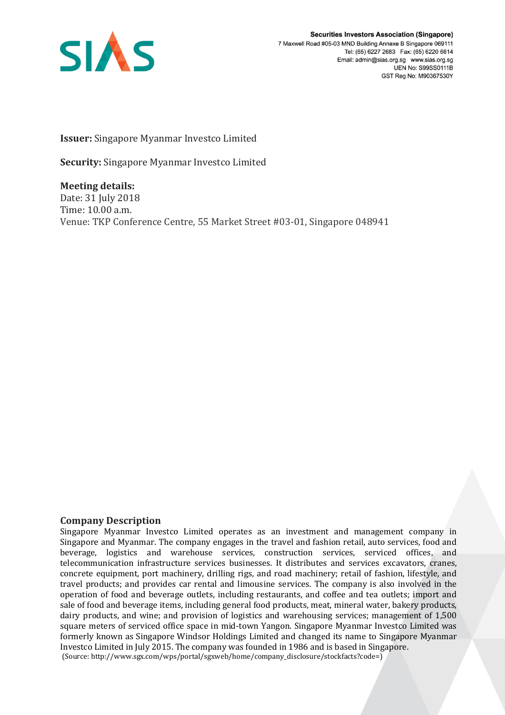

**Securities Investors Association (Singapore)** 7 Maxwell Road #05-03 MND Building Annexe B Singapore 069111 Tel: (65) 6227 2683 Fax: (65) 6220 6614 Email: admin@sias.org.sg www.sias.org.sg UEN No: S99SS0111B GST Reg No: M90367530Y

**Issuer:** Singapore Myanmar Investco Limited

**Security:** Singapore Myanmar Investco Limited

**Meeting details:**  Date: 31 July 2018 Time: 10.00 a.m. Venue: TKP Conference Centre, 55 Market Street #03-01, Singapore 048941

## **Company Description**

Singapore Myanmar Investco Limited operates as an investment and management company in Singapore and Myanmar. The company engages in the travel and fashion retail, auto services, food and beverage, logistics and warehouse services, construction services, serviced offices, and telecommunication infrastructure services businesses. It distributes and services excavators, cranes, concrete equipment, port machinery, drilling rigs, and road machinery; retail of fashion, lifestyle, and travel products; and provides car rental and limousine services. The company is also involved in the operation of food and beverage outlets, including restaurants, and coffee and tea outlets; import and sale of food and beverage items, including general food products, meat, mineral water, bakery products, dairy products, and wine; and provision of logistics and warehousing services; management of 1,500 square meters of serviced office space in mid-town Yangon. Singapore Myanmar Investco Limited was formerly known as Singapore Windsor Holdings Limited and changed its name to Singapore Myanmar Investco Limited in July 2015. The company was founded in 1986 and is based in Singapore. (Source: http://www.sgx.com/wps/portal/sgxweb/home/company\_disclosure/stockfacts?code=)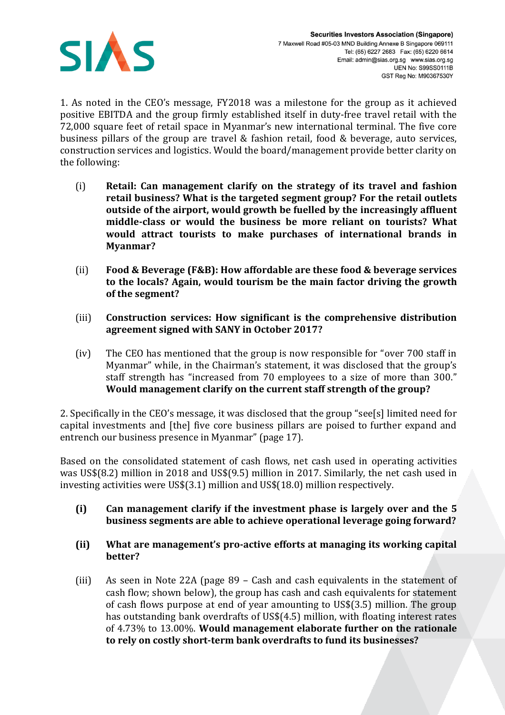

1. As noted in the CEO's message, FY2018 was a milestone for the group as it achieved positive EBITDA and the group firmly established itself in duty-free travel retail with the 72,000 square feet of retail space in Myanmar's new international terminal. The five core business pillars of the group are travel & fashion retail, food & beverage, auto services, construction services and logistics. Would the board/management provide better clarity on the following:

- (i) **Retail: Can management clarify on the strategy of its travel and fashion retail business? What is the targeted segment group? For the retail outlets outside of the airport, would growth be fuelled by the increasingly affluent middle-class or would the business be more reliant on tourists? What would attract tourists to make purchases of international brands in Myanmar?**
- (ii) **Food & Beverage (F&B): How affordable are these food & beverage services to the locals? Again, would tourism be the main factor driving the growth of the segment?**
- (iii) **Construction services: How significant is the comprehensive distribution agreement signed with SANY in October 2017?**
- (iv) The CEO has mentioned that the group is now responsible for "over 700 staff in Myanmar" while, in the Chairman's statement, it was disclosed that the group's staff strength has "increased from 70 employees to a size of more than 300." **Would management clarify on the current staff strength of the group?**

2. Specifically in the CEO's message, it was disclosed that the group "see[s] limited need for capital investments and [the] five core business pillars are poised to further expand and entrench our business presence in Myanmar" (page 17).

Based on the consolidated statement of cash flows, net cash used in operating activities was US\$(8.2) million in 2018 and US\$(9.5) million in 2017. Similarly, the net cash used in investing activities were US\$(3.1) million and US\$(18.0) million respectively.

- **(i) Can management clarify if the investment phase is largely over and the 5 business segments are able to achieve operational leverage going forward?**
- **(ii) What are management's pro-active efforts at managing its working capital better?**
- (iii) As seen in Note 22A (page 89 Cash and cash equivalents in the statement of cash flow; shown below), the group has cash and cash equivalents for statement of cash flows purpose at end of year amounting to US\$(3.5) million. The group has outstanding bank overdrafts of US\$(4.5) million, with floating interest rates of 4.73% to 13.00%. **Would management elaborate further on the rationale to rely on costly short-term bank overdrafts to fund its businesses?**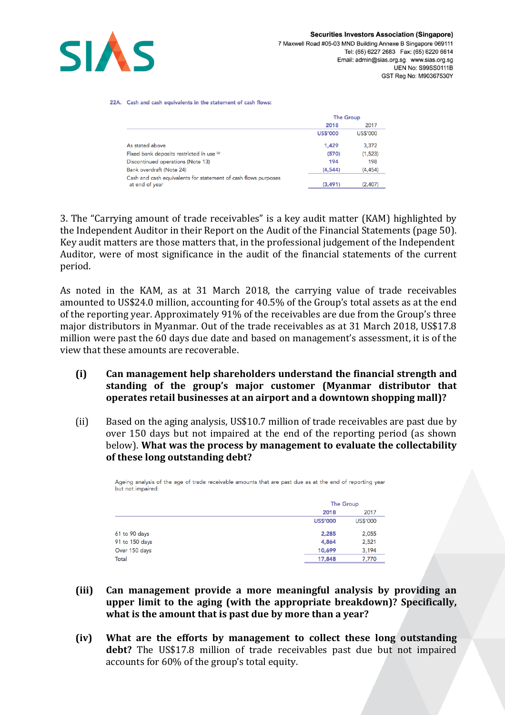

22A. Cash and cash equivalents in the statement of cash flows:

|                                                                                  | <b>The Group</b> |          |
|----------------------------------------------------------------------------------|------------------|----------|
|                                                                                  | 2018             | 2017     |
|                                                                                  | <b>US\$'000</b>  | US\$'000 |
| As stated above                                                                  | 1.429            | 3.372    |
| Fixed bank deposits restricted in use (a)                                        | (570)            | (1,523)  |
| Discontinued operations (Note 13)                                                | 194              | 198      |
| Bank overdraft (Note 24)                                                         | (4,544)          | (4, 454) |
| Cash and cash equivalents for statement of cash flows purposes<br>at end of year | (3, 491)         | (2,407)  |

3. The "Carrying amount of trade receivables" is a key audit matter (KAM) highlighted by the Independent Auditor in their Report on the Audit of the Financial Statements (page 50). Key audit matters are those matters that, in the professional judgement of the Independent Auditor, were of most significance in the audit of the financial statements of the current period.

As noted in the KAM, as at 31 March 2018, the carrying value of trade receivables amounted to US\$24.0 million, accounting for 40.5% of the Group's total assets as at the end of the reporting year. Approximately 91% of the receivables are due from the Group's three major distributors in Myanmar. Out of the trade receivables as at 31 March 2018, US\$17.8 million were past the 60 days due date and based on management's assessment, it is of the view that these amounts are recoverable.

- **(i) Can management help shareholders understand the financial strength and standing of the group's major customer (Myanmar distributor that operates retail businesses at an airport and a downtown shopping mall)?**
- (ii) Based on the aging analysis, US\$10.7 million of trade receivables are past due by over 150 days but not impaired at the end of the reporting period (as shown below). **What was the process by management to evaluate the collectability of these long outstanding debt?**

| Ageing analysis of the age of trade receivable amounts that are past due as at the end of reporting year<br>but not impaired: |                 |                  |  |
|-------------------------------------------------------------------------------------------------------------------------------|-----------------|------------------|--|
|                                                                                                                               |                 | <b>The Group</b> |  |
|                                                                                                                               | 2018            | 2017             |  |
|                                                                                                                               | <b>US\$'000</b> | <b>US\$'000</b>  |  |
| 61 to 90 days                                                                                                                 | 2,285           | 2,055            |  |
| 91 to 150 days                                                                                                                | 4,864           | 2,521            |  |
| Over 150 days                                                                                                                 | 10,699          | 3,194            |  |
| Total                                                                                                                         | 17,848          | 7,770            |  |

- **(iii) Can management provide a more meaningful analysis by providing an upper limit to the aging (with the appropriate breakdown)? Specifically, what is the amount that is past due by more than a year?**
- **(iv) What are the efforts by management to collect these long outstanding debt?** The US\$17.8 million of trade receivables past due but not impaired accounts for 60% of the group's total equity.